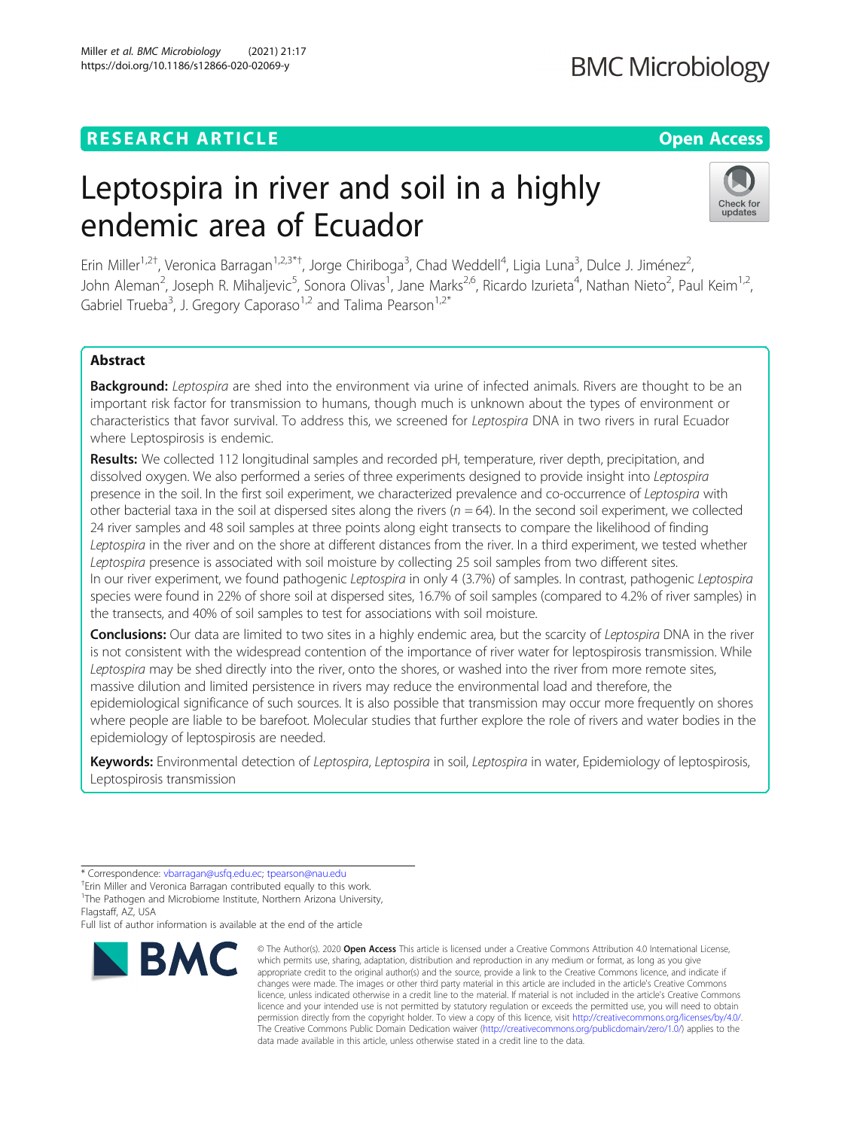# **RESEARCH ARTICLE Example 2014 12:30 The Contract of Contract ACCESS**

# **BMC Microbiology**

# Leptospira in river and soil in a highly endemic area of Ecuador



Erin Miller<sup>1,2†</sup>, Veronica Barragan<sup>1,2,3\*†</sup>, Jorge Chiriboga<sup>3</sup>, Chad Weddell<sup>4</sup>, Ligia Luna<sup>3</sup>, Dulce J. Jiménez<sup>2</sup> , John Aleman<sup>2</sup>, Joseph R. Mihaljevic<sup>5</sup>, Sonora Olivas<sup>1</sup>, Jane Marks<sup>2,6</sup>, Ricardo Izurieta<sup>4</sup>, Nathan Nieto<sup>2</sup>, Paul Keim<sup>1,2</sup>, Gabriel Trueba<sup>3</sup>, J. Gregory Caporaso<sup>1,2</sup> and Talima Pearson<sup>1,2\*</sup>

# Abstract

**Background:** Leptospira are shed into the environment via urine of infected animals. Rivers are thought to be an important risk factor for transmission to humans, though much is unknown about the types of environment or characteristics that favor survival. To address this, we screened for Leptospira DNA in two rivers in rural Ecuador where Leptospirosis is endemic.

Results: We collected 112 longitudinal samples and recorded pH, temperature, river depth, precipitation, and dissolved oxygen. We also performed a series of three experiments designed to provide insight into Leptospira presence in the soil. In the first soil experiment, we characterized prevalence and co-occurrence of Leptospira with other bacterial taxa in the soil at dispersed sites along the rivers  $(n = 64)$ . In the second soil experiment, we collected 24 river samples and 48 soil samples at three points along eight transects to compare the likelihood of finding Leptospira in the river and on the shore at different distances from the river. In a third experiment, we tested whether Leptospira presence is associated with soil moisture by collecting 25 soil samples from two different sites. In our river experiment, we found pathogenic Leptospira in only 4 (3.7%) of samples. In contrast, pathogenic Leptospira species were found in 22% of shore soil at dispersed sites, 16.7% of soil samples (compared to 4.2% of river samples) in the transects, and 40% of soil samples to test for associations with soil moisture.

Conclusions: Our data are limited to two sites in a highly endemic area, but the scarcity of Leptospira DNA in the river is not consistent with the widespread contention of the importance of river water for leptospirosis transmission. While Leptospira may be shed directly into the river, onto the shores, or washed into the river from more remote sites, massive dilution and limited persistence in rivers may reduce the environmental load and therefore, the epidemiological significance of such sources. It is also possible that transmission may occur more frequently on shores where people are liable to be barefoot. Molecular studies that further explore the role of rivers and water bodies in the epidemiology of leptospirosis are needed.

Keywords: Environmental detection of Leptospira, Leptospira in soil, Leptospira in water, Epidemiology of leptospirosis, Leptospirosis transmission

Full list of author information is available at the end of the article



<sup>©</sup> The Author(s), 2020 **Open Access** This article is licensed under a Creative Commons Attribution 4.0 International License, which permits use, sharing, adaptation, distribution and reproduction in any medium or format, as long as you give appropriate credit to the original author(s) and the source, provide a link to the Creative Commons licence, and indicate if changes were made. The images or other third party material in this article are included in the article's Creative Commons licence, unless indicated otherwise in a credit line to the material. If material is not included in the article's Creative Commons licence and your intended use is not permitted by statutory regulation or exceeds the permitted use, you will need to obtain permission directly from the copyright holder. To view a copy of this licence, visit [http://creativecommons.org/licenses/by/4.0/.](http://creativecommons.org/licenses/by/4.0/) The Creative Commons Public Domain Dedication waiver [\(http://creativecommons.org/publicdomain/zero/1.0/](http://creativecommons.org/publicdomain/zero/1.0/)) applies to the data made available in this article, unless otherwise stated in a credit line to the data.

<sup>\*</sup> Correspondence: [vbarragan@usfq.edu.ec](mailto:vbarragan@usfq.edu.ec); [tpearson@nau.edu](mailto:tpearson@nau.edu) †

<sup>&</sup>lt;sup>+</sup>Erin Miller and Veronica Barragan contributed equally to this work.

<sup>&</sup>lt;sup>1</sup>The Pathogen and Microbiome Institute, Northern Arizona University, Flagstaff, AZ, USA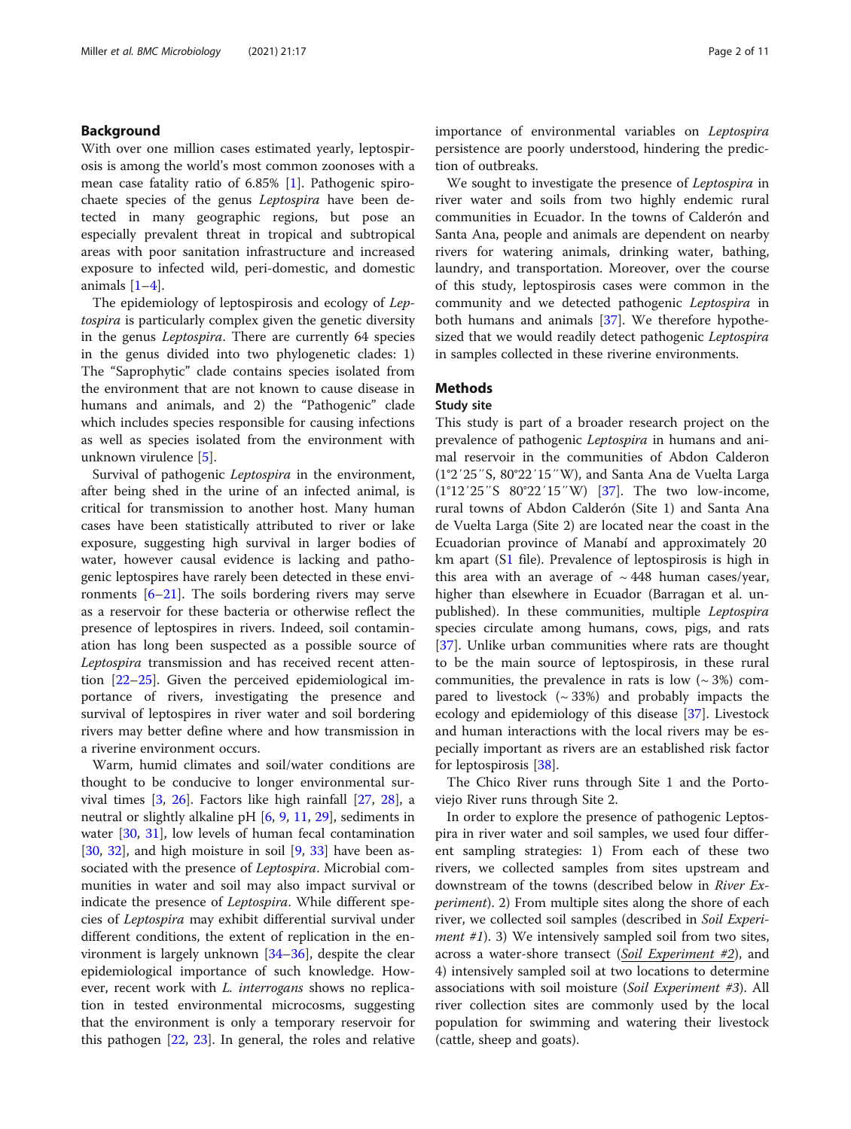### Background

With over one million cases estimated yearly, leptospirosis is among the world's most common zoonoses with a mean case fatality ratio of 6.85% [[1\]](#page-8-0). Pathogenic spirochaete species of the genus Leptospira have been detected in many geographic regions, but pose an especially prevalent threat in tropical and subtropical areas with poor sanitation infrastructure and increased exposure to infected wild, peri-domestic, and domestic animals  $[1-4]$  $[1-4]$  $[1-4]$ .

The epidemiology of leptospirosis and ecology of Leptospira is particularly complex given the genetic diversity in the genus Leptospira. There are currently 64 species in the genus divided into two phylogenetic clades: 1) The "Saprophytic" clade contains species isolated from the environment that are not known to cause disease in humans and animals, and 2) the "Pathogenic" clade which includes species responsible for causing infections as well as species isolated from the environment with unknown virulence [\[5](#page-8-0)].

Survival of pathogenic Leptospira in the environment, after being shed in the urine of an infected animal, is critical for transmission to another host. Many human cases have been statistically attributed to river or lake exposure, suggesting high survival in larger bodies of water, however causal evidence is lacking and pathogenic leptospires have rarely been detected in these environments  $[6-21]$  $[6-21]$  $[6-21]$  $[6-21]$  $[6-21]$ . The soils bordering rivers may serve as a reservoir for these bacteria or otherwise reflect the presence of leptospires in rivers. Indeed, soil contamination has long been suspected as a possible source of Leptospira transmission and has received recent attention [\[22](#page-9-0)–[25\]](#page-9-0). Given the perceived epidemiological importance of rivers, investigating the presence and survival of leptospires in river water and soil bordering rivers may better define where and how transmission in a riverine environment occurs.

Warm, humid climates and soil/water conditions are thought to be conducive to longer environmental survival times [\[3,](#page-8-0) [26](#page-9-0)]. Factors like high rainfall [\[27](#page-9-0), [28\]](#page-9-0), a neutral or slightly alkaline pH [\[6](#page-8-0), [9](#page-8-0), [11](#page-9-0), [29](#page-9-0)], sediments in water [\[30,](#page-9-0) [31\]](#page-9-0), low levels of human fecal contamination  $[30, 32]$  $[30, 32]$  $[30, 32]$  $[30, 32]$  $[30, 32]$ , and high moisture in soil  $[9, 33]$  $[9, 33]$  $[9, 33]$  have been associated with the presence of *Leptospira*. Microbial communities in water and soil may also impact survival or indicate the presence of Leptospira. While different species of Leptospira may exhibit differential survival under different conditions, the extent of replication in the environment is largely unknown [[34](#page-9-0)–[36\]](#page-9-0), despite the clear epidemiological importance of such knowledge. However, recent work with *L. interrogans* shows no replication in tested environmental microcosms, suggesting that the environment is only a temporary reservoir for this pathogen [[22,](#page-9-0) [23](#page-9-0)]. In general, the roles and relative importance of environmental variables on Leptospira persistence are poorly understood, hindering the prediction of outbreaks.

We sought to investigate the presence of *Leptospira* in river water and soils from two highly endemic rural communities in Ecuador. In the towns of Calderón and Santa Ana, people and animals are dependent on nearby rivers for watering animals, drinking water, bathing, laundry, and transportation. Moreover, over the course of this study, leptospirosis cases were common in the community and we detected pathogenic Leptospira in both humans and animals [[37](#page-9-0)]. We therefore hypothesized that we would readily detect pathogenic Leptospira in samples collected in these riverine environments.

# **Methods**

#### Study site

This study is part of a broader research project on the prevalence of pathogenic Leptospira in humans and animal reservoir in the communities of Abdon Calderon (1°2′25″S, 80°22′15″W), and Santa Ana de Vuelta Larga (1°12′25″S 80°22′15″W) [\[37](#page-9-0)]. The two low-income, rural towns of Abdon Calderón (Site 1) and Santa Ana de Vuelta Larga (Site 2) are located near the coast in the Ecuadorian province of Manabí and approximately 20 km apart (S[1](#page-8-0) file). Prevalence of leptospirosis is high in this area with an average of  $\sim$  448 human cases/year, higher than elsewhere in Ecuador (Barragan et al. unpublished). In these communities, multiple Leptospira species circulate among humans, cows, pigs, and rats [[37\]](#page-9-0). Unlike urban communities where rats are thought to be the main source of leptospirosis, in these rural communities, the prevalence in rats is low  $({\sim}3\%)$  compared to livestock  $({\sim}33%)$  and probably impacts the ecology and epidemiology of this disease [\[37](#page-9-0)]. Livestock and human interactions with the local rivers may be especially important as rivers are an established risk factor for leptospirosis [\[38](#page-9-0)].

The Chico River runs through Site 1 and the Portoviejo River runs through Site 2.

In order to explore the presence of pathogenic Leptospira in river water and soil samples, we used four different sampling strategies: 1) From each of these two rivers, we collected samples from sites upstream and downstream of the towns (described below in River Experiment). 2) From multiple sites along the shore of each river, we collected soil samples (described in Soil Experi*ment*  $#1$ ). 3) We intensively sampled soil from two sites, across a water-shore transect (Soil Experiment #2), and 4) intensively sampled soil at two locations to determine associations with soil moisture (Soil Experiment #3). All river collection sites are commonly used by the local population for swimming and watering their livestock (cattle, sheep and goats).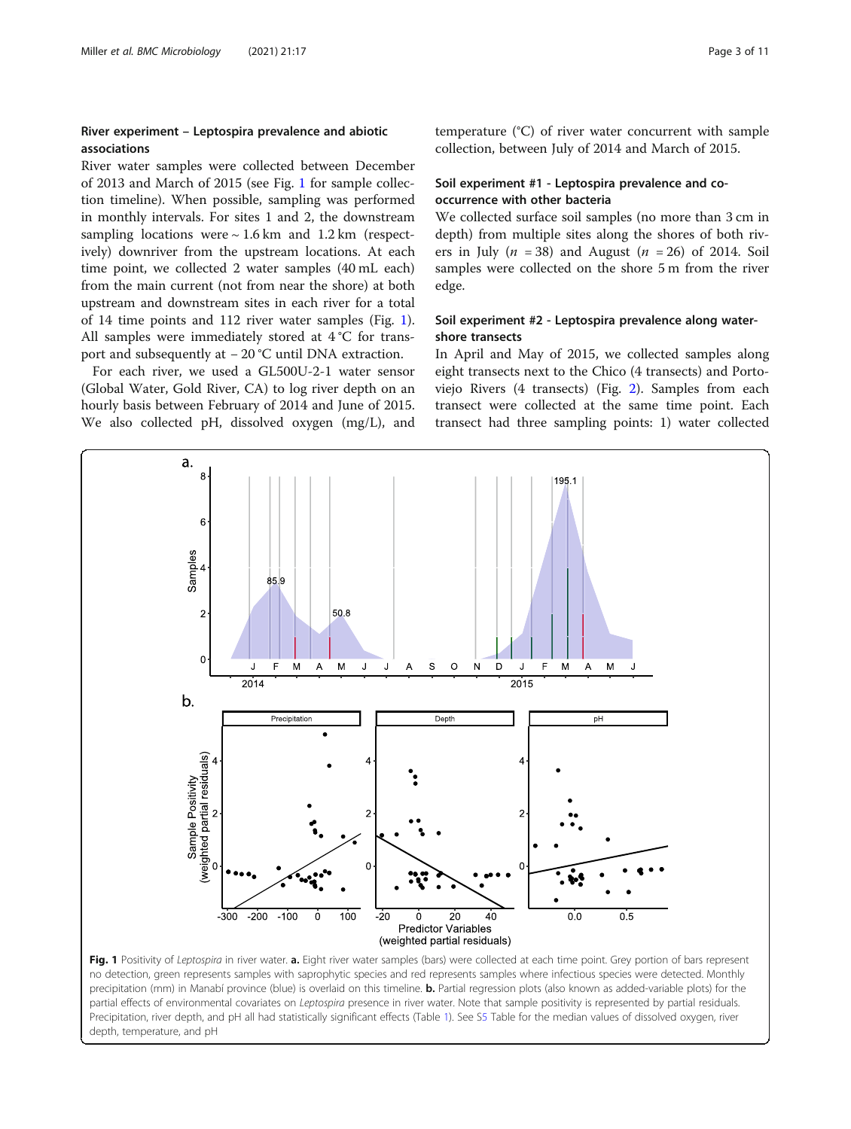### <span id="page-2-0"></span>River experiment – Leptospira prevalence and abiotic associations

River water samples were collected between December of 2013 and March of 2015 (see Fig. 1 for sample collection timeline). When possible, sampling was performed in monthly intervals. For sites 1 and 2, the downstream sampling locations were  $\sim 1.6$  km and 1.2 km (respectively) downriver from the upstream locations. At each time point, we collected 2 water samples (40 mL each) from the main current (not from near the shore) at both upstream and downstream sites in each river for a total of 14 time points and 112 river water samples (Fig. 1). All samples were immediately stored at 4 °C for transport and subsequently at − 20 °C until DNA extraction.

For each river, we used a GL500U-2-1 water sensor (Global Water, Gold River, CA) to log river depth on an hourly basis between February of 2014 and June of 2015. We also collected pH, dissolved oxygen (mg/L), and

> a. ۶

> > $\epsilon$

temperature (°C) of river water concurrent with sample collection, between July of 2014 and March of 2015.

# Soil experiment #1 - Leptospira prevalence and cooccurrence with other bacteria

We collected surface soil samples (no more than 3 cm in depth) from multiple sites along the shores of both rivers in July ( $n = 38$ ) and August ( $n = 26$ ) of 2014. Soil samples were collected on the shore 5 m from the river edge.

# Soil experiment #2 - Leptospira prevalence along watershore transects

In April and May of 2015, we collected samples along eight transects next to the Chico (4 transects) and Portoviejo Rivers (4 transects) (Fig. [2](#page-3-0)). Samples from each transect were collected at the same time point. Each transect had three sampling points: 1) water collected

195.1

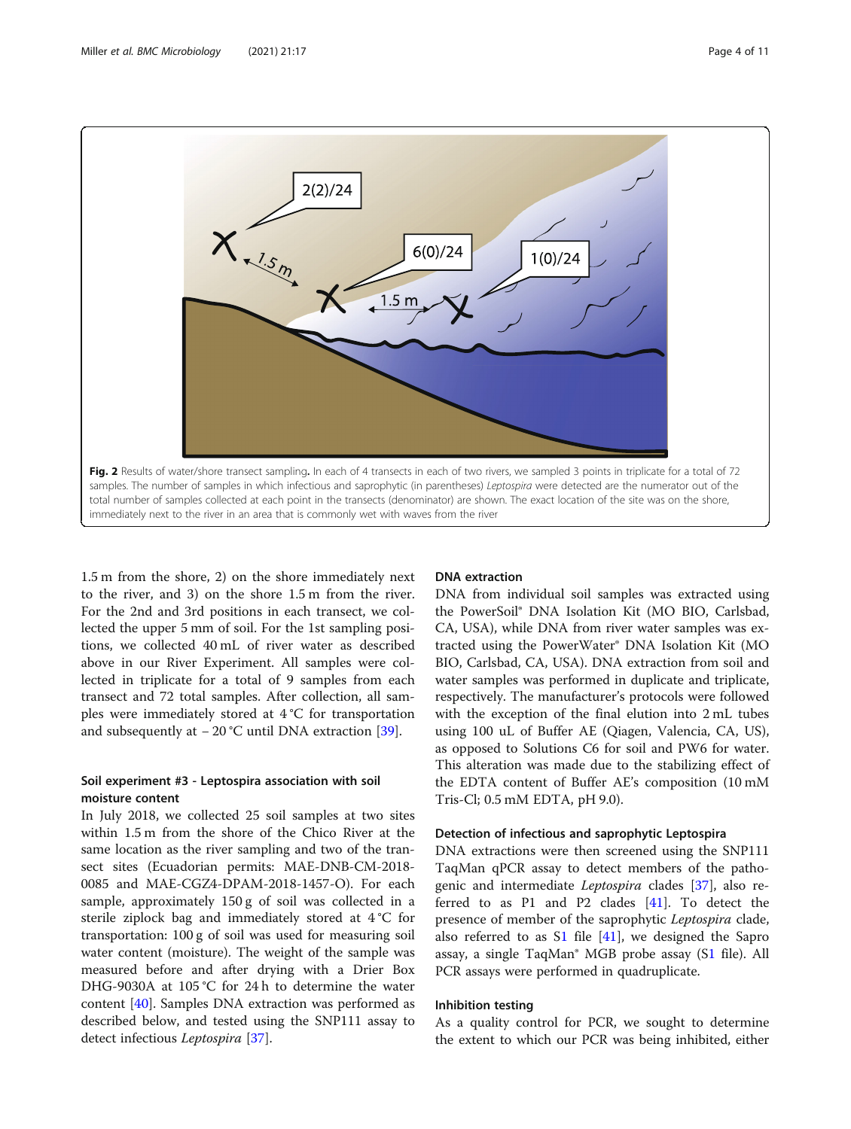<span id="page-3-0"></span>

1.5 m from the shore, 2) on the shore immediately next to the river, and 3) on the shore 1.5 m from the river. For the 2nd and 3rd positions in each transect, we collected the upper 5 mm of soil. For the 1st sampling positions, we collected 40 mL of river water as described above in our River Experiment. All samples were collected in triplicate for a total of 9 samples from each transect and 72 total samples. After collection, all samples were immediately stored at 4 °C for transportation and subsequently at − 20 °C until DNA extraction [\[39](#page-9-0)].

# Soil experiment #3 - Leptospira association with soil moisture content

In July 2018, we collected 25 soil samples at two sites within 1.5 m from the shore of the Chico River at the same location as the river sampling and two of the transect sites (Ecuadorian permits: MAE-DNB-CM-2018- 0085 and MAE-CGZ4-DPAM-2018-1457-O). For each sample, approximately 150 g of soil was collected in a sterile ziplock bag and immediately stored at 4 °C for transportation: 100 g of soil was used for measuring soil water content (moisture). The weight of the sample was measured before and after drying with a Drier Box DHG-9030A at 105 °C for 24 h to determine the water content [\[40\]](#page-9-0). Samples DNA extraction was performed as described below, and tested using the SNP111 assay to detect infectious Leptospira [[37](#page-9-0)].

#### DNA extraction

DNA from individual soil samples was extracted using the PowerSoil® DNA Isolation Kit (MO BIO, Carlsbad, CA, USA), while DNA from river water samples was extracted using the PowerWater® DNA Isolation Kit (MO BIO, Carlsbad, CA, USA). DNA extraction from soil and water samples was performed in duplicate and triplicate, respectively. The manufacturer's protocols were followed with the exception of the final elution into 2 mL tubes using 100 uL of Buffer AE (Qiagen, Valencia, CA, US), as opposed to Solutions C6 for soil and PW6 for water. This alteration was made due to the stabilizing effect of the EDTA content of Buffer AE's composition (10 mM Tris-Cl; 0.5 mM EDTA, pH 9.0).

#### Detection of infectious and saprophytic Leptospira

DNA extractions were then screened using the SNP111 TaqMan qPCR assay to detect members of the pathogenic and intermediate Leptospira clades [[37](#page-9-0)], also referred to as P1 and P2 clades [[41](#page-9-0)]. To detect the presence of member of the saprophytic *Leptospira* clade, also referred to as  $S1$  $S1$  file [\[41\]](#page-9-0), we designed the Sapro assay, a single TaqMan® MGB probe assay (S[1](#page-8-0) file). All PCR assays were performed in quadruplicate.

#### Inhibition testing

As a quality control for PCR, we sought to determine the extent to which our PCR was being inhibited, either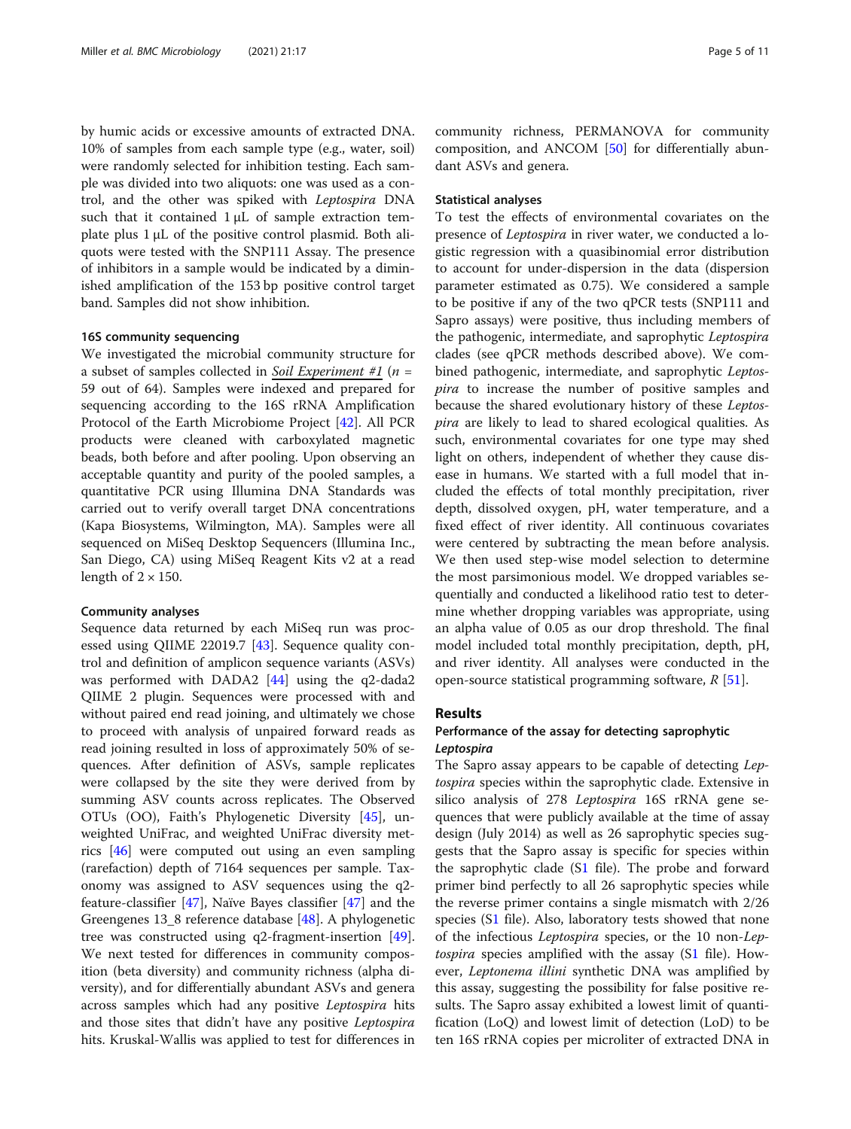by humic acids or excessive amounts of extracted DNA. 10% of samples from each sample type (e.g., water, soil) were randomly selected for inhibition testing. Each sample was divided into two aliquots: one was used as a control, and the other was spiked with Leptospira DNA such that it contained  $1 \mu L$  of sample extraction template plus 1 μL of the positive control plasmid. Both aliquots were tested with the SNP111 Assay. The presence of inhibitors in a sample would be indicated by a diminished amplification of the 153 bp positive control target band. Samples did not show inhibition.

#### 16S community sequencing

We investigated the microbial community structure for a subset of samples collected in Soil Experiment #1 ( $n =$ 59 out of 64). Samples were indexed and prepared for sequencing according to the 16S rRNA Amplification Protocol of the Earth Microbiome Project [[42\]](#page-9-0). All PCR products were cleaned with carboxylated magnetic beads, both before and after pooling. Upon observing an acceptable quantity and purity of the pooled samples, a quantitative PCR using Illumina DNA Standards was carried out to verify overall target DNA concentrations (Kapa Biosystems, Wilmington, MA). Samples were all sequenced on MiSeq Desktop Sequencers (Illumina Inc., San Diego, CA) using MiSeq Reagent Kits v2 at a read length of  $2 \times 150$ .

#### Community analyses

Sequence data returned by each MiSeq run was processed using QIIME 22019.7 [\[43\]](#page-9-0). Sequence quality control and definition of amplicon sequence variants (ASVs) was performed with DADA2 [\[44](#page-9-0)] using the q2-dada2 QIIME 2 plugin. Sequences were processed with and without paired end read joining, and ultimately we chose to proceed with analysis of unpaired forward reads as read joining resulted in loss of approximately 50% of sequences. After definition of ASVs, sample replicates were collapsed by the site they were derived from by summing ASV counts across replicates. The Observed OTUs (OO), Faith's Phylogenetic Diversity [[45\]](#page-9-0), unweighted UniFrac, and weighted UniFrac diversity metrics [[46](#page-9-0)] were computed out using an even sampling (rarefaction) depth of 7164 sequences per sample. Taxonomy was assigned to ASV sequences using the q2 feature-classifier [[47\]](#page-9-0), Naïve Bayes classifier [[47\]](#page-9-0) and the Greengenes 13\_8 reference database [\[48\]](#page-9-0). A phylogenetic tree was constructed using q2-fragment-insertion [\[49](#page-9-0)]. We next tested for differences in community composition (beta diversity) and community richness (alpha diversity), and for differentially abundant ASVs and genera across samples which had any positive Leptospira hits and those sites that didn't have any positive *Leptospira* hits. Kruskal-Wallis was applied to test for differences in community richness, PERMANOVA for community composition, and ANCOM [\[50](#page-9-0)] for differentially abundant ASVs and genera.

# Statistical analyses

To test the effects of environmental covariates on the presence of Leptospira in river water, we conducted a logistic regression with a quasibinomial error distribution to account for under-dispersion in the data (dispersion parameter estimated as 0.75). We considered a sample to be positive if any of the two qPCR tests (SNP111 and Sapro assays) were positive, thus including members of the pathogenic, intermediate, and saprophytic Leptospira clades (see qPCR methods described above). We combined pathogenic, intermediate, and saprophytic Leptospira to increase the number of positive samples and because the shared evolutionary history of these Leptospira are likely to lead to shared ecological qualities. As such, environmental covariates for one type may shed light on others, independent of whether they cause disease in humans. We started with a full model that included the effects of total monthly precipitation, river depth, dissolved oxygen, pH, water temperature, and a fixed effect of river identity. All continuous covariates were centered by subtracting the mean before analysis. We then used step-wise model selection to determine the most parsimonious model. We dropped variables sequentially and conducted a likelihood ratio test to determine whether dropping variables was appropriate, using an alpha value of 0.05 as our drop threshold. The final model included total monthly precipitation, depth, pH, and river identity. All analyses were conducted in the open-source statistical programming software,  $R$  [\[51\]](#page-9-0).

#### Results

# Performance of the assay for detecting saprophytic Leptospira

The Sapro assay appears to be capable of detecting Leptospira species within the saprophytic clade. Extensive in silico analysis of 278 Leptospira 16S rRNA gene sequences that were publicly available at the time of assay design (July 2014) as well as 26 saprophytic species suggests that the Sapro assay is specific for species within the saprophytic clade ([S1](#page-8-0) file). The probe and forward primer bind perfectly to all 26 saprophytic species while the reverse primer contains a single mismatch with 2/26 species (S[1](#page-8-0) file). Also, laboratory tests showed that none of the infectious Leptospira species, or the 10 non-Lep-tospira species amplified with the assay ([S1](#page-8-0) file). However, Leptonema illini synthetic DNA was amplified by this assay, suggesting the possibility for false positive results. The Sapro assay exhibited a lowest limit of quantification (LoQ) and lowest limit of detection (LoD) to be ten 16S rRNA copies per microliter of extracted DNA in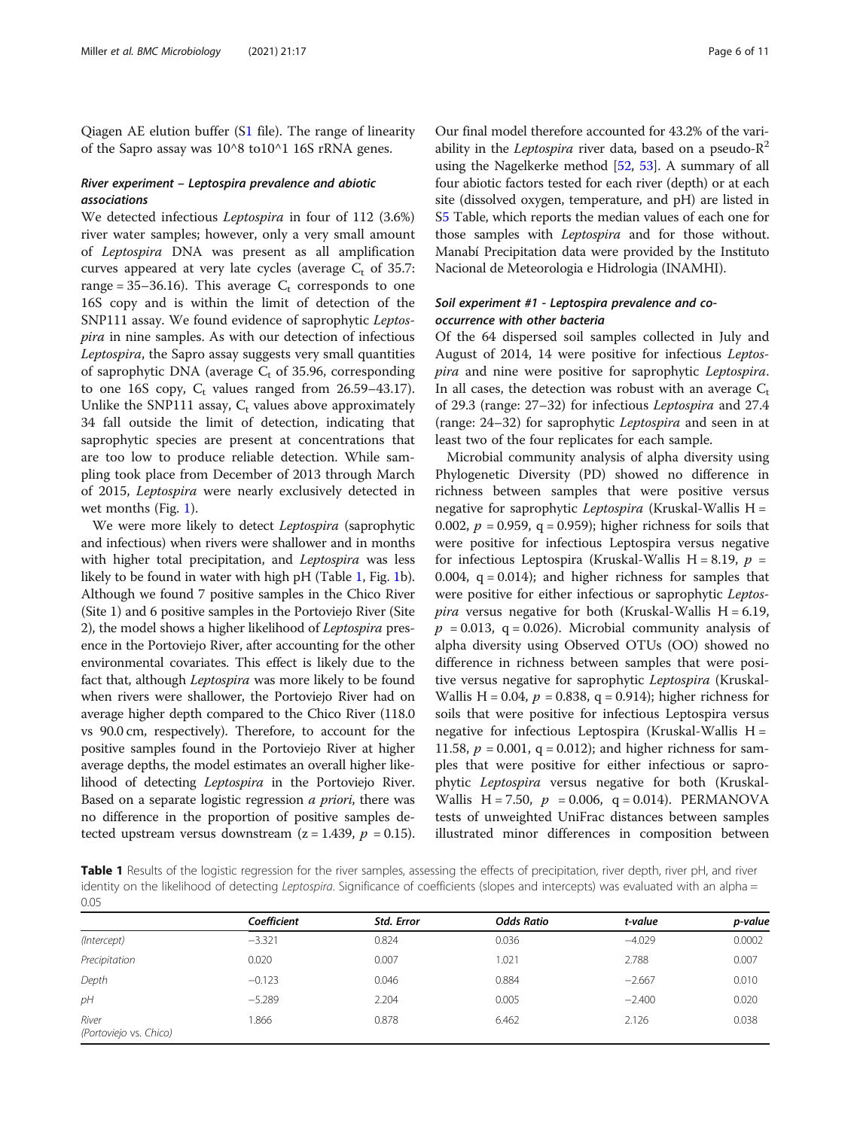<span id="page-5-0"></span>Qiagen AE elution buffer (S[1](#page-8-0) file). The range of linearity of the Sapro assay was 10^8 to10^1 16S rRNA genes.

#### River experiment – Leptospira prevalence and abiotic associations

We detected infectious Leptospira in four of 112 (3.6%) river water samples; however, only a very small amount of Leptospira DNA was present as all amplification curves appeared at very late cycles (average  $C_t$  of 35.7: range = 35–36.16). This average  $C_t$  corresponds to one 16S copy and is within the limit of detection of the SNP111 assay. We found evidence of saprophytic Leptospira in nine samples. As with our detection of infectious Leptospira, the Sapro assay suggests very small quantities of saprophytic DNA (average  $C_t$  of 35.96, corresponding to one 16S copy,  $C_t$  values ranged from 26.59-43.17). Unlike the SNP111 assay,  $C_t$  values above approximately 34 fall outside the limit of detection, indicating that saprophytic species are present at concentrations that are too low to produce reliable detection. While sampling took place from December of 2013 through March of 2015, Leptospira were nearly exclusively detected in wet months (Fig. [1\)](#page-2-0).

We were more likely to detect *Leptospira* (saprophytic and infectious) when rivers were shallower and in months with higher total precipitation, and Leptospira was less likely to be found in water with high pH (Table 1, Fig. [1](#page-2-0)b). Although we found 7 positive samples in the Chico River (Site 1) and 6 positive samples in the Portoviejo River (Site 2), the model shows a higher likelihood of Leptospira presence in the Portoviejo River, after accounting for the other environmental covariates. This effect is likely due to the fact that, although *Leptospira* was more likely to be found when rivers were shallower, the Portoviejo River had on average higher depth compared to the Chico River (118.0 vs 90.0 cm, respectively). Therefore, to account for the positive samples found in the Portoviejo River at higher average depths, the model estimates an overall higher likelihood of detecting Leptospira in the Portoviejo River. Based on a separate logistic regression a priori, there was no difference in the proportion of positive samples detected upstream versus downstream ( $z = 1.439$ ,  $p = 0.15$ ).

Our final model therefore accounted for 43.2% of the variability in the *Leptospira* river data, based on a pseudo- $R^2$ using the Nagelkerke method [\[52,](#page-10-0) [53](#page-10-0)]. A summary of all four abiotic factors tested for each river (depth) or at each site (dissolved oxygen, temperature, and pH) are listed in S[5](#page-8-0) Table, which reports the median values of each one for those samples with *Leptospira* and for those without. Manabí Precipitation data were provided by the Instituto Nacional de Meteorologia e Hidrologia (INAMHI).

# Soil experiment #1 - Leptospira prevalence and cooccurrence with other bacteria

Of the 64 dispersed soil samples collected in July and August of 2014, 14 were positive for infectious Leptospira and nine were positive for saprophytic Leptospira. In all cases, the detection was robust with an average  $C_t$ of 29.3 (range: 27–32) for infectious Leptospira and 27.4 (range: 24–32) for saprophytic Leptospira and seen in at least two of the four replicates for each sample.

Microbial community analysis of alpha diversity using Phylogenetic Diversity (PD) showed no difference in richness between samples that were positive versus negative for saprophytic *Leptospira* (Kruskal-Wallis  $H =$ 0.002,  $p = 0.959$ ,  $q = 0.959$ ; higher richness for soils that were positive for infectious Leptospira versus negative for infectious Leptospira (Kruskal-Wallis H = 8.19,  $p =$ 0.004,  $q = 0.014$ ); and higher richness for samples that were positive for either infectious or saprophytic Leptos*pira* versus negative for both (Kruskal-Wallis  $H = 6.19$ ,  $p = 0.013$ , q = 0.026). Microbial community analysis of alpha diversity using Observed OTUs (OO) showed no difference in richness between samples that were positive versus negative for saprophytic Leptospira (Kruskal-Wallis H = 0.04,  $p = 0.838$ , q = 0.914); higher richness for soils that were positive for infectious Leptospira versus negative for infectious Leptospira (Kruskal-Wallis H = 11.58,  $p = 0.001$ ,  $q = 0.012$ ); and higher richness for samples that were positive for either infectious or saprophytic Leptospira versus negative for both (Kruskal-Wallis H = 7.50,  $p = 0.006$ , q = 0.014). PERMANOVA tests of unweighted UniFrac distances between samples illustrated minor differences in composition between

Table 1 Results of the logistic regression for the river samples, assessing the effects of precipitation, river depth, river pH, and river identity on the likelihood of detecting Leptospira. Significance of coefficients (slopes and intercepts) was evaluated with an alpha = 0.05

|                                 | Coefficient | Std. Error | <b>Odds Ratio</b> | t-value  | p-value |
|---------------------------------|-------------|------------|-------------------|----------|---------|
| (Intercept)                     | $-3.321$    | 0.824      | 0.036             | $-4.029$ | 0.0002  |
| Precipitation                   | 0.020       | 0.007      | 1.021             | 2.788    | 0.007   |
| Depth                           | $-0.123$    | 0.046      | 0.884             | $-2.667$ | 0.010   |
| рH                              | $-5.289$    | 2.204      | 0.005             | $-2.400$ | 0.020   |
| River<br>(Portoviejo vs. Chico) | .866        | 0.878      | 6.462             | 2.126    | 0.038   |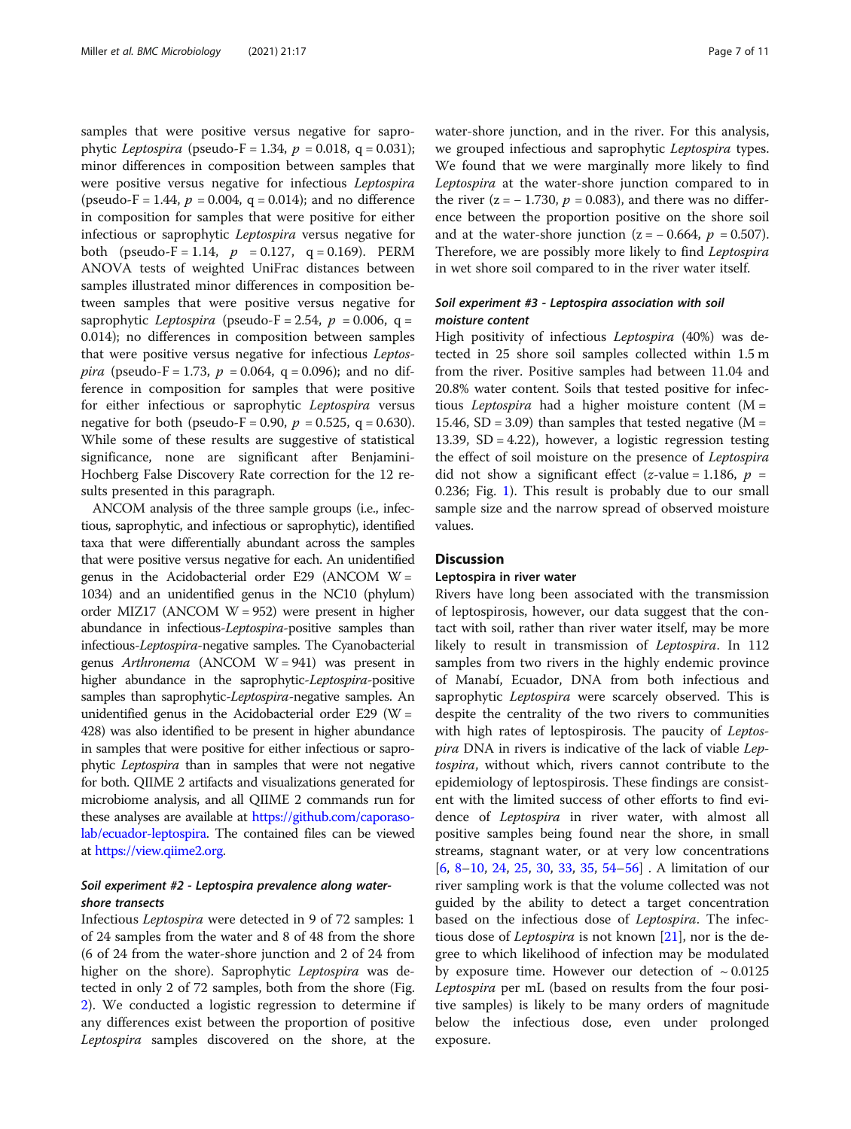samples that were positive versus negative for saprophytic *Leptospira* (pseudo-F = 1.34,  $p = 0.018$ , q = 0.031); minor differences in composition between samples that were positive versus negative for infectious Leptospira (pseudo-F = 1.44,  $p = 0.004$ , q = 0.014); and no difference in composition for samples that were positive for either infectious or saprophytic Leptospira versus negative for both (pseudo-F = 1.14,  $p = 0.127$ , q = 0.169). PERM ANOVA tests of weighted UniFrac distances between samples illustrated minor differences in composition between samples that were positive versus negative for saprophytic Leptospira (pseudo-F = 2.54,  $p = 0.006$ , q = 0.014); no differences in composition between samples that were positive versus negative for infectious Leptos*pira* (pseudo-F = 1.73,  $p = 0.064$ , q = 0.096); and no difference in composition for samples that were positive for either infectious or saprophytic Leptospira versus negative for both (pseudo-F = 0.90,  $p = 0.525$ , q = 0.630). While some of these results are suggestive of statistical significance, none are significant after Benjamini-Hochberg False Discovery Rate correction for the 12 results presented in this paragraph.

ANCOM analysis of the three sample groups (i.e., infectious, saprophytic, and infectious or saprophytic), identified taxa that were differentially abundant across the samples that were positive versus negative for each. An unidentified genus in the Acidobacterial order E29 (ANCOM  $W =$ 1034) and an unidentified genus in the NC10 (phylum) order MIZ17 (ANCOM  $W = 952$ ) were present in higher abundance in infectious-Leptospira-positive samples than infectious-Leptospira-negative samples. The Cyanobacterial genus Arthronema (ANCOM  $W = 941$ ) was present in higher abundance in the saprophytic-Leptospira-positive samples than saprophytic-Leptospira-negative samples. An unidentified genus in the Acidobacterial order E29 (W = 428) was also identified to be present in higher abundance in samples that were positive for either infectious or saprophytic Leptospira than in samples that were not negative for both. QIIME 2 artifacts and visualizations generated for microbiome analysis, and all QIIME 2 commands run for these analyses are available at [https://github.com/caporaso](https://github.com/caporaso-lab/ecuador-leptospira)[lab/ecuador-leptospira](https://github.com/caporaso-lab/ecuador-leptospira). The contained files can be viewed at <https://view.qiime2.org>.

# Soil experiment #2 - Leptospira prevalence along watershore transects

Infectious Leptospira were detected in 9 of 72 samples: 1 of 24 samples from the water and 8 of 48 from the shore (6 of 24 from the water-shore junction and 2 of 24 from higher on the shore). Saprophytic Leptospira was detected in only 2 of 72 samples, both from the shore (Fig. [2\)](#page-3-0). We conducted a logistic regression to determine if any differences exist between the proportion of positive Leptospira samples discovered on the shore, at the

water-shore junction, and in the river. For this analysis, we grouped infectious and saprophytic Leptospira types. We found that we were marginally more likely to find Leptospira at the water-shore junction compared to in the river ( $z = -1.730$ ,  $p = 0.083$ ), and there was no difference between the proportion positive on the shore soil and at the water-shore junction ( $z = -0.664$ ,  $p = 0.507$ ). Therefore, we are possibly more likely to find *Leptospira* in wet shore soil compared to in the river water itself.

# Soil experiment #3 - Leptospira association with soil moisture content

High positivity of infectious Leptospira (40%) was detected in 25 shore soil samples collected within 1.5 m from the river. Positive samples had between 11.04 and 20.8% water content. Soils that tested positive for infectious Leptospira had a higher moisture content  $(M =$ 15.46, SD = 3.09) than samples that tested negative  $(M =$ 13.39, SD = 4.22), however, a logistic regression testing the effect of soil moisture on the presence of Leptospira did not show a significant effect (z-value = 1.186,  $p =$ 0.236; Fig. [1\)](#page-2-0). This result is probably due to our small sample size and the narrow spread of observed moisture values.

# **Discussion**

#### Leptospira in river water

Rivers have long been associated with the transmission of leptospirosis, however, our data suggest that the contact with soil, rather than river water itself, may be more likely to result in transmission of Leptospira. In 112 samples from two rivers in the highly endemic province of Manabí, Ecuador, DNA from both infectious and saprophytic Leptospira were scarcely observed. This is despite the centrality of the two rivers to communities with high rates of leptospirosis. The paucity of Leptospira DNA in rivers is indicative of the lack of viable Leptospira, without which, rivers cannot contribute to the epidemiology of leptospirosis. These findings are consistent with the limited success of other efforts to find evidence of Leptospira in river water, with almost all positive samples being found near the shore, in small streams, stagnant water, or at very low concentrations [[6,](#page-8-0) [8](#page-8-0)–[10](#page-8-0), [24](#page-9-0), [25,](#page-9-0) [30](#page-9-0), [33,](#page-9-0) [35](#page-9-0), [54](#page-10-0)–[56](#page-10-0)] . A limitation of our river sampling work is that the volume collected was not guided by the ability to detect a target concentration based on the infectious dose of *Leptospira*. The infectious dose of *Leptospira* is not known [\[21\]](#page-9-0), nor is the degree to which likelihood of infection may be modulated by exposure time. However our detection of  $\sim 0.0125$ Leptospira per mL (based on results from the four positive samples) is likely to be many orders of magnitude below the infectious dose, even under prolonged exposure.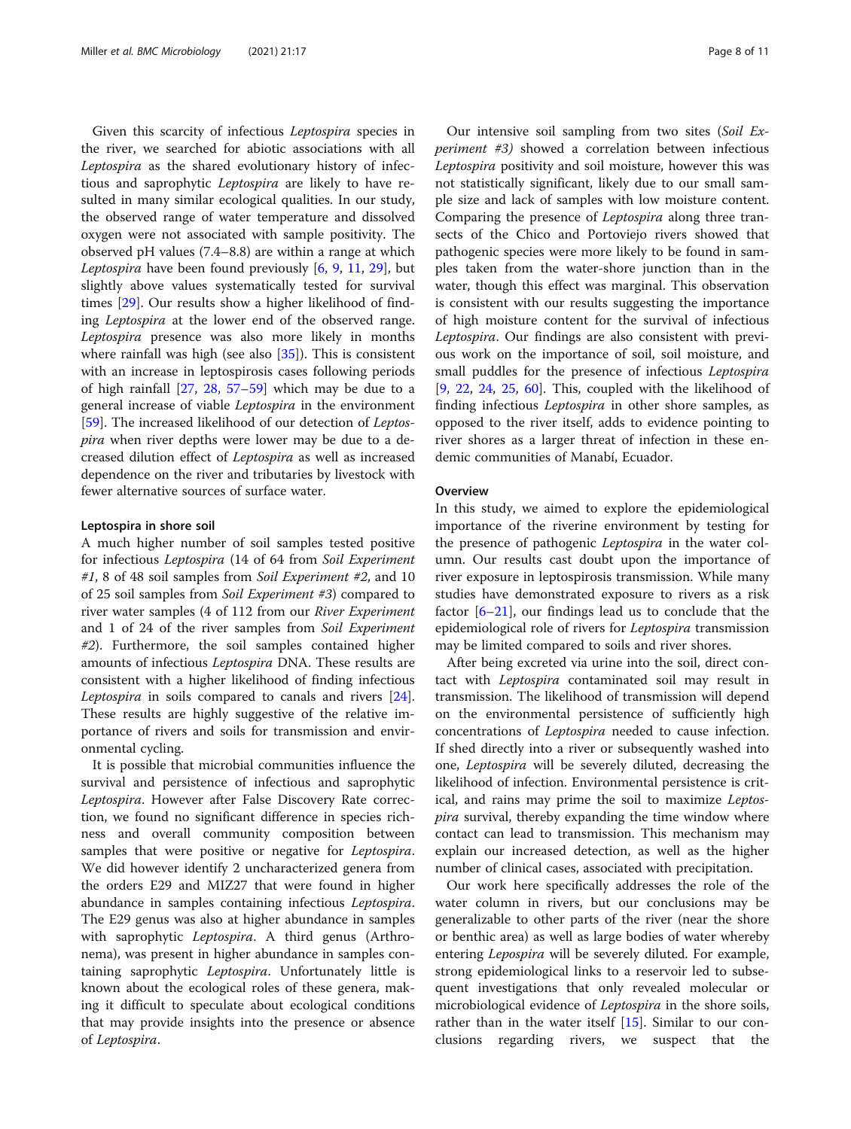Given this scarcity of infectious Leptospira species in the river, we searched for abiotic associations with all Leptospira as the shared evolutionary history of infectious and saprophytic Leptospira are likely to have resulted in many similar ecological qualities. In our study, the observed range of water temperature and dissolved oxygen were not associated with sample positivity. The observed pH values (7.4–8.8) are within a range at which Leptospira have been found previously  $[6, 9, 11, 29]$  $[6, 9, 11, 29]$  $[6, 9, 11, 29]$  $[6, 9, 11, 29]$  $[6, 9, 11, 29]$  $[6, 9, 11, 29]$  $[6, 9, 11, 29]$  $[6, 9, 11, 29]$ , but slightly above values systematically tested for survival times [\[29](#page-9-0)]. Our results show a higher likelihood of finding Leptospira at the lower end of the observed range. Leptospira presence was also more likely in months where rainfall was high (see also [[35\]](#page-9-0)). This is consistent with an increase in leptospirosis cases following periods of high rainfall [\[27](#page-9-0), [28](#page-9-0), [57](#page-10-0)–[59](#page-10-0)] which may be due to a general increase of viable Leptospira in the environment [[59\]](#page-10-0). The increased likelihood of our detection of Leptospira when river depths were lower may be due to a decreased dilution effect of Leptospira as well as increased dependence on the river and tributaries by livestock with fewer alternative sources of surface water.

#### Leptospira in shore soil

A much higher number of soil samples tested positive for infectious Leptospira (14 of 64 from Soil Experiment #1, 8 of 48 soil samples from Soil Experiment #2, and 10 of 25 soil samples from Soil Experiment #3) compared to river water samples (4 of 112 from our River Experiment and 1 of 24 of the river samples from Soil Experiment #2). Furthermore, the soil samples contained higher amounts of infectious Leptospira DNA. These results are consistent with a higher likelihood of finding infectious Leptospira in soils compared to canals and rivers [\[24](#page-9-0)]. These results are highly suggestive of the relative importance of rivers and soils for transmission and environmental cycling.

It is possible that microbial communities influence the survival and persistence of infectious and saprophytic Leptospira. However after False Discovery Rate correction, we found no significant difference in species richness and overall community composition between samples that were positive or negative for Leptospira. We did however identify 2 uncharacterized genera from the orders E29 and MIZ27 that were found in higher abundance in samples containing infectious Leptospira. The E29 genus was also at higher abundance in samples with saprophytic *Leptospira*. A third genus (Arthronema), was present in higher abundance in samples containing saprophytic Leptospira. Unfortunately little is known about the ecological roles of these genera, making it difficult to speculate about ecological conditions that may provide insights into the presence or absence of Leptospira.

Our intensive soil sampling from two sites (Soil Experiment #3) showed a correlation between infectious Leptospira positivity and soil moisture, however this was not statistically significant, likely due to our small sample size and lack of samples with low moisture content. Comparing the presence of Leptospira along three transects of the Chico and Portoviejo rivers showed that pathogenic species were more likely to be found in samples taken from the water-shore junction than in the water, though this effect was marginal. This observation is consistent with our results suggesting the importance of high moisture content for the survival of infectious Leptospira. Our findings are also consistent with previous work on the importance of soil, soil moisture, and small puddles for the presence of infectious Leptospira [[9,](#page-8-0) [22,](#page-9-0) [24,](#page-9-0) [25](#page-9-0), [60](#page-10-0)]. This, coupled with the likelihood of finding infectious Leptospira in other shore samples, as opposed to the river itself, adds to evidence pointing to river shores as a larger threat of infection in these endemic communities of Manabí, Ecuador.

#### **Overview**

In this study, we aimed to explore the epidemiological importance of the riverine environment by testing for the presence of pathogenic Leptospira in the water column. Our results cast doubt upon the importance of river exposure in leptospirosis transmission. While many studies have demonstrated exposure to rivers as a risk factor [\[6](#page-8-0)–[21](#page-9-0)], our findings lead us to conclude that the epidemiological role of rivers for Leptospira transmission may be limited compared to soils and river shores.

After being excreted via urine into the soil, direct contact with Leptospira contaminated soil may result in transmission. The likelihood of transmission will depend on the environmental persistence of sufficiently high concentrations of Leptospira needed to cause infection. If shed directly into a river or subsequently washed into one, Leptospira will be severely diluted, decreasing the likelihood of infection. Environmental persistence is critical, and rains may prime the soil to maximize Leptospira survival, thereby expanding the time window where contact can lead to transmission. This mechanism may explain our increased detection, as well as the higher number of clinical cases, associated with precipitation.

Our work here specifically addresses the role of the water column in rivers, but our conclusions may be generalizable to other parts of the river (near the shore or benthic area) as well as large bodies of water whereby entering *Lepospira* will be severely diluted. For example, strong epidemiological links to a reservoir led to subsequent investigations that only revealed molecular or microbiological evidence of *Leptospira* in the shore soils, rather than in the water itself  $[15]$  $[15]$  $[15]$ . Similar to our conclusions regarding rivers, we suspect that the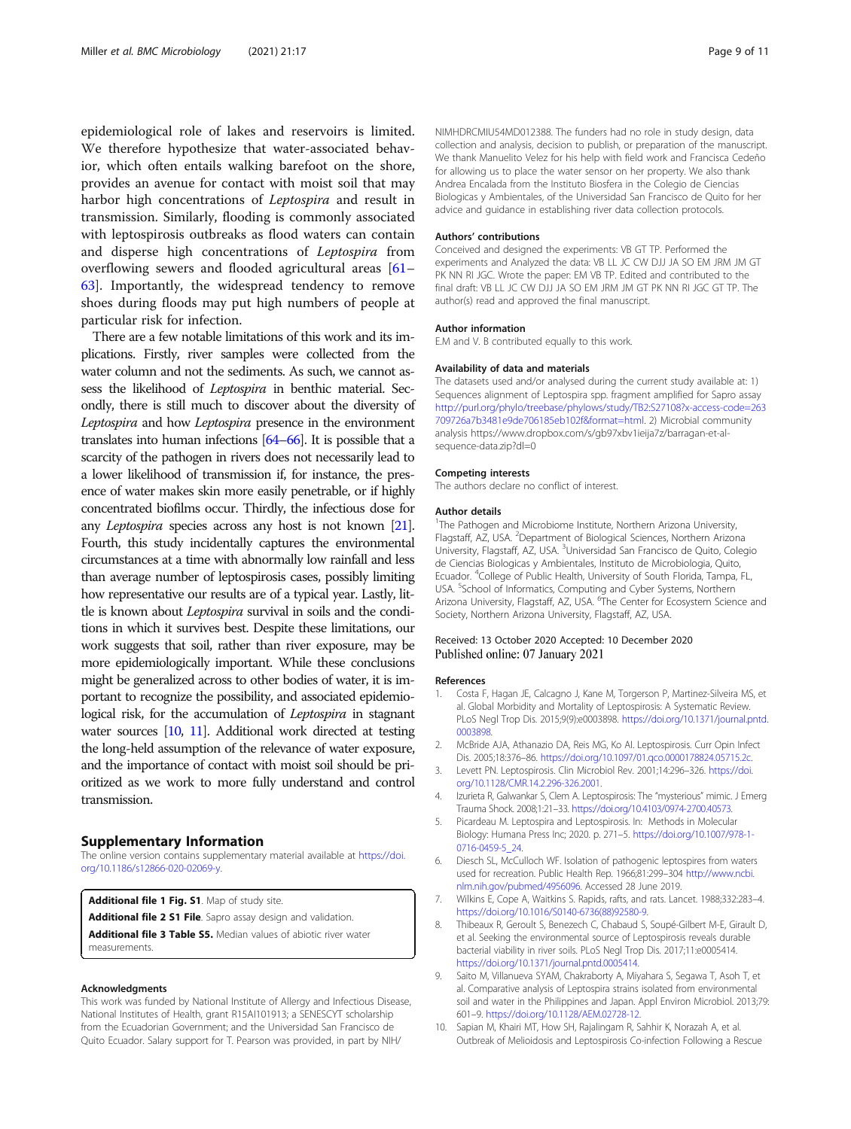<span id="page-8-0"></span>epidemiological role of lakes and reservoirs is limited. We therefore hypothesize that water-associated behavior, which often entails walking barefoot on the shore, provides an avenue for contact with moist soil that may harbor high concentrations of Leptospira and result in transmission. Similarly, flooding is commonly associated with leptospirosis outbreaks as flood waters can contain and disperse high concentrations of Leptospira from overflowing sewers and flooded agricultural areas [[61](#page-10-0)– [63\]](#page-10-0). Importantly, the widespread tendency to remove shoes during floods may put high numbers of people at particular risk for infection.

There are a few notable limitations of this work and its implications. Firstly, river samples were collected from the water column and not the sediments. As such, we cannot assess the likelihood of Leptospira in benthic material. Secondly, there is still much to discover about the diversity of Leptospira and how Leptospira presence in the environment translates into human infections [\[64](#page-10-0)–[66](#page-10-0)]. It is possible that a scarcity of the pathogen in rivers does not necessarily lead to a lower likelihood of transmission if, for instance, the presence of water makes skin more easily penetrable, or if highly concentrated biofilms occur. Thirdly, the infectious dose for any *Leptospira* species across any host is not known [\[21\]](#page-9-0). Fourth, this study incidentally captures the environmental circumstances at a time with abnormally low rainfall and less than average number of leptospirosis cases, possibly limiting how representative our results are of a typical year. Lastly, little is known about Leptospira survival in soils and the conditions in which it survives best. Despite these limitations, our work suggests that soil, rather than river exposure, may be more epidemiologically important. While these conclusions might be generalized across to other bodies of water, it is important to recognize the possibility, and associated epidemiological risk, for the accumulation of *Leptospira* in stagnant water sources [10, [11](#page-9-0)]. Additional work directed at testing the long-held assumption of the relevance of water exposure, and the importance of contact with moist soil should be prioritized as we work to more fully understand and control transmission.

#### Supplementary Information

The online version contains supplementary material available at [https://doi.](https://doi.org/10.1186/s12866-020-02069-y) [org/10.1186/s12866-020-02069-y](https://doi.org/10.1186/s12866-020-02069-y).

Additional file 1 Fig. S1. Map of study site.

Additional file 2 S1 File. Sapro assay design and validation. Additional file 3 Table S5. Median values of abiotic river water measurements.

#### Acknowledgments

This work was funded by National Institute of Allergy and Infectious Disease, National Institutes of Health, grant R15AI101913; a SENESCYT scholarship from the Ecuadorian Government; and the Universidad San Francisco de Quito Ecuador. Salary support for T. Pearson was provided, in part by NIH/

NIMHDRCMIU54MD012388. The funders had no role in study design, data collection and analysis, decision to publish, or preparation of the manuscript. We thank Manuelito Velez for his help with field work and Francisca Cedeño for allowing us to place the water sensor on her property. We also thank Andrea Encalada from the Instituto Biosfera in the Colegio de Ciencias Biologicas y Ambientales, of the Universidad San Francisco de Quito for her advice and guidance in establishing river data collection protocols.

#### Authors' contributions

Conceived and designed the experiments: VB GT TP. Performed the experiments and Analyzed the data: VB LL JC CW DJJ JA SO EM JRM JM GT PK NN RI JGC. Wrote the paper: EM VB TP. Edited and contributed to the final draft: VB LL JC CW DJJ JA SO EM JRM JM GT PK NN RI JGC GT TP. The author(s) read and approved the final manuscript.

#### Author information

E.M and V. B contributed equally to this work.

#### Availability of data and materials

The datasets used and/or analysed during the current study available at: 1) Sequences alignment of Leptospira spp. fragment amplified for Sapro assay [http://purl.org/phylo/treebase/phylows/study/TB2:S27108?x-access-code=263](http://purl.org/phylo/treebase/phylows/study/TB2:S27108?x-access-code=263709726a7b3481e9de706185eb102f&format=html) [709726a7b3481e9de706185eb102f&format=html.](http://purl.org/phylo/treebase/phylows/study/TB2:S27108?x-access-code=263709726a7b3481e9de706185eb102f&format=html) 2) Microbial community analysis https://www.dropbox.com/s/gb97xbv1ieija7z/barragan-et-alsequence-data.zip?dl=0

#### Competing interests

The authors declare no conflict of interest.

#### Author details

<sup>1</sup>The Pathogen and Microbiome Institute, Northern Arizona University Flagstaff, AZ, USA. <sup>2</sup>Department of Biological Sciences, Northern Arizona University, Flagstaff, AZ, USA. <sup>3</sup>Universidad San Francisco de Quito, Colegio de Ciencias Biologicas y Ambientales, Instituto de Microbiologia, Quito, Ecuador. <sup>4</sup> College of Public Health, University of South Florida, Tampa, FL, USA. <sup>5</sup>School of Informatics, Computing and Cyber Systems, Northern Arizona University, Flagstaff, AZ, USA. <sup>6</sup>The Center for Ecosystem Science and Society, Northern Arizona University, Flagstaff, AZ, USA.

#### Received: 13 October 2020 Accepted: 10 December 2020 Published online: 07 January 2021

#### References

- 1. Costa F, Hagan JE, Calcagno J, Kane M, Torgerson P, Martinez-Silveira MS, et al. Global Morbidity and Mortality of Leptospirosis: A Systematic Review. PLoS Negl Trop Dis. 2015;9(9):e0003898. [https://doi.org/10.1371/journal.pntd.](https://doi.org/10.1371/journal.pntd.0003898) [0003898.](https://doi.org/10.1371/journal.pntd.0003898)
- 2. McBride AJA, Athanazio DA, Reis MG, Ko AI. Leptospirosis. Curr Opin Infect Dis. 2005;18:376–86. [https://doi.org/10.1097/01.qco.0000178824.05715.2c.](https://doi.org/10.1097/01.qco.0000178824.05715.2c)
- 3. Levett PN. Leptospirosis. Clin Microbiol Rev. 2001;14:296–326. [https://doi.](https://doi.org/10.1128/CMR.14.2.296-326.2001) [org/10.1128/CMR.14.2.296-326.2001](https://doi.org/10.1128/CMR.14.2.296-326.2001).
- 4. Izurieta R, Galwankar S, Clem A. Leptospirosis: The "mysterious" mimic. J Emerg Trauma Shock. 2008;1:21–33. [https://doi.org/10.4103/0974-2700.40573.](https://doi.org/10.4103/0974-2700.40573)
- 5. Picardeau M. Leptospira and Leptospirosis. In: Methods in Molecular Biology: Humana Press Inc; 2020. p. 271–5. [https://doi.org/10.1007/978-1-](https://doi.org/10.1007/978-1-0716-0459-5_24) [0716-0459-5\\_24.](https://doi.org/10.1007/978-1-0716-0459-5_24)
- 6. Diesch SL, McCulloch WF. Isolation of pathogenic leptospires from waters used for recreation. Public Health Rep. 1966;81:299–304 [http://www.ncbi.](http://www.ncbi.nlm.nih.gov/pubmed/4956096) [nlm.nih.gov/pubmed/4956096](http://www.ncbi.nlm.nih.gov/pubmed/4956096). Accessed 28 June 2019.
- 7. Wilkins E, Cope A, Waitkins S. Rapids, rafts, and rats. Lancet. 1988;332:283–4. [https://doi.org/10.1016/S0140-6736\(88\)92580-9.](https://doi.org/10.1016/S0140-6736(88)92580-9)
- 8. Thibeaux R, Geroult S, Benezech C, Chabaud S, Soupé-Gilbert M-E, Girault D, et al. Seeking the environmental source of Leptospirosis reveals durable bacterial viability in river soils. PLoS Negl Trop Dis. 2017;11:e0005414. <https://doi.org/10.1371/journal.pntd.0005414>.
- 9. Saito M, Villanueva SYAM, Chakraborty A, Miyahara S, Segawa T, Asoh T, et al. Comparative analysis of Leptospira strains isolated from environmental soil and water in the Philippines and Japan. Appl Environ Microbiol. 2013;79: 601–9. [https://doi.org/10.1128/AEM.02728-12.](https://doi.org/10.1128/AEM.02728-12)
- 10. Sapian M, Khairi MT, How SH, Rajalingam R, Sahhir K, Norazah A, et al. Outbreak of Melioidosis and Leptospirosis Co-infection Following a Rescue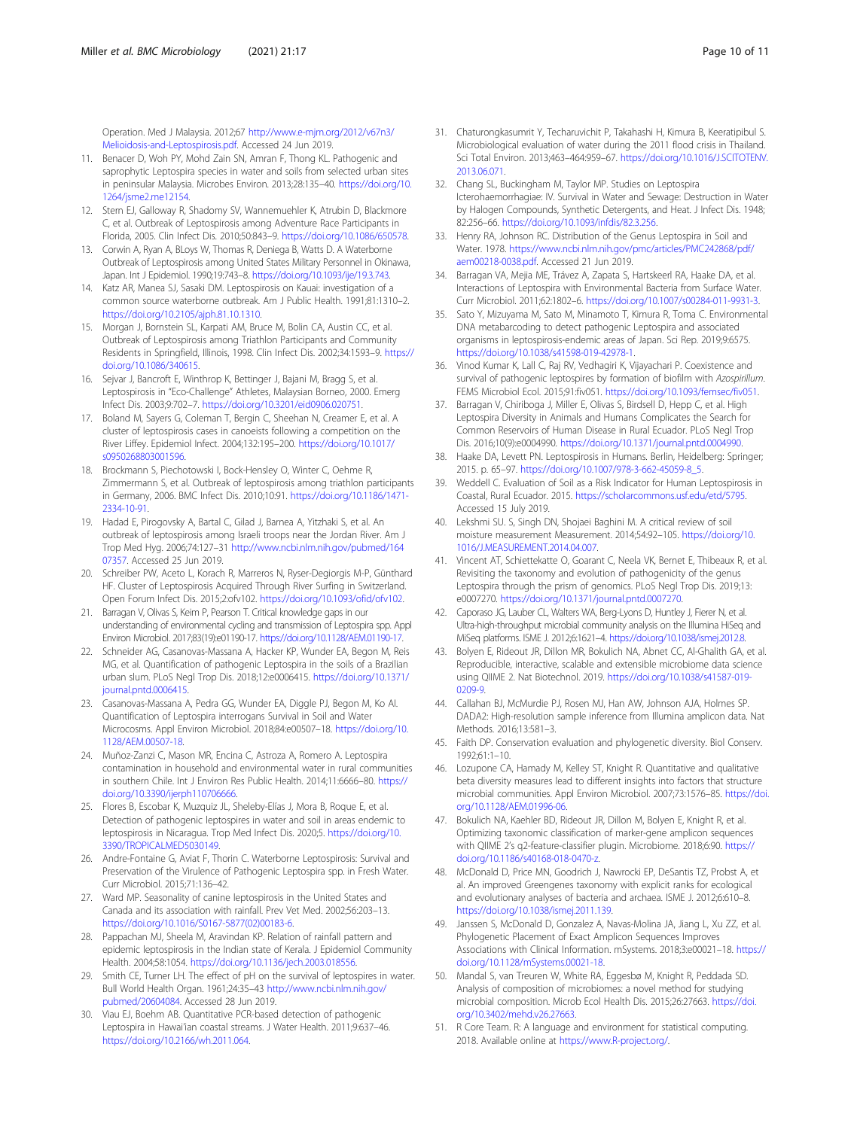<span id="page-9-0"></span>Operation. Med J Malaysia. 2012;67 [http://www.e-mjm.org/2012/v67n3/](http://www.e-mjm.org/2012/v67n3/Melioidosis-and-Leptospirosis.pdf) [Melioidosis-and-Leptospirosis.pdf.](http://www.e-mjm.org/2012/v67n3/Melioidosis-and-Leptospirosis.pdf) Accessed 24 Jun 2019.

- 11. Benacer D, Woh PY, Mohd Zain SN, Amran F, Thong KL. Pathogenic and saprophytic Leptospira species in water and soils from selected urban sites in peninsular Malaysia. Microbes Environ. 2013;28:135–40. [https://doi.org/10.](https://doi.org/10.1264/jsme2.me12154) [1264/jsme2.me12154.](https://doi.org/10.1264/jsme2.me12154)
- 12. Stern EJ, Galloway R, Shadomy SV, Wannemuehler K, Atrubin D, Blackmore C, et al. Outbreak of Leptospirosis among Adventure Race Participants in Florida, 2005. Clin Infect Dis. 2010;50:843–9. <https://doi.org/10.1086/650578>.
- 13. Corwin A, Ryan A, BLoys W, Thomas R, Deniega B, Watts D. A Waterborne Outbreak of Leptospirosis among United States Military Personnel in Okinawa, Japan. Int J Epidemiol. 1990;19:743–8. <https://doi.org/10.1093/ije/19.3.743>.
- 14. Katz AR, Manea SJ, Sasaki DM. Leptospirosis on Kauai: investigation of a common source waterborne outbreak. Am J Public Health. 1991;81:1310–2. <https://doi.org/10.2105/ajph.81.10.1310>.
- 15. Morgan J, Bornstein SL, Karpati AM, Bruce M, Bolin CA, Austin CC, et al. Outbreak of Leptospirosis among Triathlon Participants and Community Residents in Springfield, Illinois, 1998. Clin Infect Dis. 2002;34:1593–9. [https://](https://doi.org/10.1086/340615) [doi.org/10.1086/340615.](https://doi.org/10.1086/340615)
- 16. Sejvar J, Bancroft E, Winthrop K, Bettinger J, Bajani M, Bragg S, et al. Leptospirosis in "Eco-Challenge" Athletes, Malaysian Borneo, 2000. Emerg Infect Dis. 2003;9:702–7. [https://doi.org/10.3201/eid0906.020751.](https://doi.org/10.3201/eid0906.020751)
- 17. Boland M, Sayers G, Coleman T, Bergin C, Sheehan N, Creamer E, et al. A cluster of leptospirosis cases in canoeists following a competition on the River Liffey. Epidemiol Infect. 2004;132:195–200. [https://doi.org/10.1017/](https://doi.org/10.1017/s0950268803001596) [s0950268803001596.](https://doi.org/10.1017/s0950268803001596)
- 18. Brockmann S, Piechotowski I, Bock-Hensley O, Winter C, Oehme R, Zimmermann S, et al. Outbreak of leptospirosis among triathlon participants in Germany, 2006. BMC Infect Dis. 2010;10:91. [https://doi.org/10.1186/1471-](https://doi.org/10.1186/1471-2334-10-91) [2334-10-91](https://doi.org/10.1186/1471-2334-10-91).
- 19. Hadad E, Pirogovsky A, Bartal C, Gilad J, Barnea A, Yitzhaki S, et al. An outbreak of leptospirosis among Israeli troops near the Jordan River. Am J Trop Med Hyg. 2006;74:127–31 [http://www.ncbi.nlm.nih.gov/pubmed/164](http://www.ncbi.nlm.nih.gov/pubmed/16407357) [07357.](http://www.ncbi.nlm.nih.gov/pubmed/16407357) Accessed 25 Jun 2019.
- 20. Schreiber PW, Aceto L, Korach R, Marreros N, Ryser-Degiorgis M-P, Günthard HF. Cluster of Leptospirosis Acquired Through River Surfing in Switzerland. Open Forum Infect Dis. 2015;2:ofv102. [https://doi.org/10.1093/ofid/ofv102.](https://doi.org/10.1093/ofid/ofv102)
- 21. Barragan V, Olivas S, Keim P, Pearson T. Critical knowledge gaps in our understanding of environmental cycling and transmission of Leptospira spp. Appl Environ Microbiol. 2017;83(19):e01190-17. <https://doi.org/10.1128/AEM.01190-17>.
- 22. Schneider AG, Casanovas-Massana A, Hacker KP, Wunder EA, Begon M, Reis MG, et al. Quantification of pathogenic Leptospira in the soils of a Brazilian urban slum. PLoS Negl Trop Dis. 2018;12:e0006415. [https://doi.org/10.1371/](https://doi.org/10.1371/journal.pntd.0006415) [journal.pntd.0006415](https://doi.org/10.1371/journal.pntd.0006415).
- 23. Casanovas-Massana A, Pedra GG, Wunder EA, Diggle PJ, Begon M, Ko AI. Quantification of Leptospira interrogans Survival in Soil and Water Microcosms. Appl Environ Microbiol. 2018;84:e00507–18. [https://doi.org/10.](https://doi.org/10.1128/AEM.00507-18) [1128/AEM.00507-18.](https://doi.org/10.1128/AEM.00507-18)
- 24. Muñoz-Zanzi C, Mason MR, Encina C, Astroza A, Romero A. Leptospira contamination in household and environmental water in rural communities in southern Chile. Int J Environ Res Public Health. 2014;11:6666–80. [https://](https://doi.org/10.3390/ijerph110706666) [doi.org/10.3390/ijerph110706666](https://doi.org/10.3390/ijerph110706666).
- 25. Flores B, Escobar K, Muzquiz JL, Sheleby-Elías J, Mora B, Roque E, et al. Detection of pathogenic leptospires in water and soil in areas endemic to leptospirosis in Nicaragua. Trop Med Infect Dis. 2020;5. [https://doi.org/10.](https://doi.org/10.3390/TROPICALMED5030149) [3390/TROPICALMED5030149](https://doi.org/10.3390/TROPICALMED5030149).
- 26. Andre-Fontaine G, Aviat F, Thorin C. Waterborne Leptospirosis: Survival and Preservation of the Virulence of Pathogenic Leptospira spp. in Fresh Water. Curr Microbiol. 2015;71:136–42.
- 27. Ward MP. Seasonality of canine leptospirosis in the United States and Canada and its association with rainfall. Prev Vet Med. 2002;56:203–13. [https://doi.org/10.1016/S0167-5877\(02\)00183-6.](https://doi.org/10.1016/S0167-5877(02)00183-6)
- 28. Pappachan MJ, Sheela M, Aravindan KP. Relation of rainfall pattern and epidemic leptospirosis in the Indian state of Kerala. J Epidemiol Community Health. 2004;58:1054. [https://doi.org/10.1136/jech.2003.018556.](https://doi.org/10.1136/jech.2003.018556)
- 29. Smith CE, Turner LH. The effect of pH on the survival of leptospires in water. Bull World Health Organ. 1961;24:35–43 [http://www.ncbi.nlm.nih.gov/](http://www.ncbi.nlm.nih.gov/pubmed/20604084) [pubmed/20604084.](http://www.ncbi.nlm.nih.gov/pubmed/20604084) Accessed 28 Jun 2019.
- 30. Viau EJ, Boehm AB. Quantitative PCR-based detection of pathogenic Leptospira in Hawai'ian coastal streams. J Water Health. 2011;9:637-46. <https://doi.org/10.2166/wh.2011.064>.
- 31. Chaturongkasumrit Y, Techaruvichit P, Takahashi H, Kimura B, Keeratipibul S. Microbiological evaluation of water during the 2011 flood crisis in Thailand. Sci Total Environ. 2013;463–464:959–67. [https://doi.org/10.1016/J.SCITOTENV.](https://doi.org/10.1016/J.SCITOTENV.2013.06.071) [2013.06.071.](https://doi.org/10.1016/J.SCITOTENV.2013.06.071)
- 32. Chang SL, Buckingham M, Taylor MP. Studies on Leptospira Icterohaemorrhagiae: IV. Survival in Water and Sewage: Destruction in Water by Halogen Compounds, Synthetic Detergents, and Heat. J Infect Dis. 1948; 82:256–66. <https://doi.org/10.1093/infdis/82.3.256>.
- 33. Henry RA, Johnson RC. Distribution of the Genus Leptospira in Soil and Water. 1978. [https://www.ncbi.nlm.nih.gov/pmc/articles/PMC242868/pdf/](https://www.ncbi.nlm.nih.gov/pmc/articles/PMC242868/pdf/aem00218-0038.pdf) [aem00218-0038.pdf.](https://www.ncbi.nlm.nih.gov/pmc/articles/PMC242868/pdf/aem00218-0038.pdf) Accessed 21 Jun 2019.
- 34. Barragan VA, Mejia ME, Trávez A, Zapata S, Hartskeerl RA, Haake DA, et al. Interactions of Leptospira with Environmental Bacteria from Surface Water. Curr Microbiol. 2011;62:1802–6. [https://doi.org/10.1007/s00284-011-9931-3.](https://doi.org/10.1007/s00284-011-9931-3)
- 35. Sato Y, Mizuyama M, Sato M, Minamoto T, Kimura R, Toma C. Environmental DNA metabarcoding to detect pathogenic Leptospira and associated organisms in leptospirosis-endemic areas of Japan. Sci Rep. 2019;9:6575. [https://doi.org/10.1038/s41598-019-42978-1.](https://doi.org/10.1038/s41598-019-42978-1)
- 36. Vinod Kumar K, Lall C, Raj RV, Vedhagiri K, Vijayachari P. Coexistence and survival of pathogenic leptospires by formation of biofilm with Azospirillum. FEMS Microbiol Ecol. 2015;91:fiv051. <https://doi.org/10.1093/femsec/fiv051>.
- 37. Barragan V, Chiriboga J, Miller E, Olivas S, Birdsell D, Hepp C, et al. High Leptospira Diversity in Animals and Humans Complicates the Search for Common Reservoirs of Human Disease in Rural Ecuador. PLoS Negl Trop Dis. 2016;10(9):e0004990. [https://doi.org/10.1371/journal.pntd.0004990.](https://doi.org/10.1371/journal.pntd.0004990)
- 38. Haake DA, Levett PN. Leptospirosis in Humans. Berlin, Heidelberg: Springer; 2015. p. 65–97. [https://doi.org/10.1007/978-3-662-45059-8\\_5](https://doi.org/10.1007/978-3-662-45059-8_5).
- 39. Weddell C. Evaluation of Soil as a Risk Indicator for Human Leptospirosis in Coastal, Rural Ecuador. 2015. [https://scholarcommons.usf.edu/etd/5795.](https://scholarcommons.usf.edu/etd/5795) Accessed 15 July 2019.
- 40. Lekshmi SU. S, Singh DN, Shojaei Baghini M. A critical review of soil moisture measurement Measurement. 2014;54:92–105. [https://doi.org/10.](https://doi.org/10.1016/J.MEASUREMENT.2014.04.007) [1016/J.MEASUREMENT.2014.04.007.](https://doi.org/10.1016/J.MEASUREMENT.2014.04.007)
- 41. Vincent AT, Schiettekatte O, Goarant C, Neela VK, Bernet E, Thibeaux R, et al. Revisiting the taxonomy and evolution of pathogenicity of the genus Leptospira through the prism of genomics. PLoS Negl Trop Dis. 2019;13: e0007270. <https://doi.org/10.1371/journal.pntd.0007270>.
- 42. Caporaso JG, Lauber CL, Walters WA, Berg-Lyons D, Huntley J, Fierer N, et al. Ultra-high-throughput microbial community analysis on the Illumina HiSeq and MiSeq platforms. ISME J. 2012;6:1621–4. <https://doi.org/10.1038/ismej.2012.8>.
- 43. Bolyen E, Rideout JR, Dillon MR, Bokulich NA, Abnet CC, Al-Ghalith GA, et al. Reproducible, interactive, scalable and extensible microbiome data science using QIIME 2. Nat Biotechnol. 2019. [https://doi.org/10.1038/s41587-019-](https://doi.org/10.1038/s41587-019-0209-9) [0209-9.](https://doi.org/10.1038/s41587-019-0209-9)
- 44. Callahan BJ, McMurdie PJ, Rosen MJ, Han AW, Johnson AJA, Holmes SP. DADA2: High-resolution sample inference from Illumina amplicon data. Nat Methods. 2016;13:581–3.
- 45. Faith DP. Conservation evaluation and phylogenetic diversity. Biol Conserv. 1992;61:1–10.
- 46. Lozupone CA, Hamady M, Kelley ST, Knight R. Quantitative and qualitative beta diversity measures lead to different insights into factors that structure microbial communities. Appl Environ Microbiol. 2007;73:1576–85. [https://doi.](https://doi.org/10.1128/AEM.01996-06) [org/10.1128/AEM.01996-06](https://doi.org/10.1128/AEM.01996-06).
- 47. Bokulich NA, Kaehler BD, Rideout JR, Dillon M, Bolyen E, Knight R, et al. Optimizing taxonomic classification of marker-gene amplicon sequences with QIIME 2's q2-feature-classifier plugin. Microbiome. 2018;6:90. [https://](https://doi.org/10.1186/s40168-018-0470-z) [doi.org/10.1186/s40168-018-0470-z.](https://doi.org/10.1186/s40168-018-0470-z)
- 48. McDonald D, Price MN, Goodrich J, Nawrocki EP, DeSantis TZ, Probst A, et al. An improved Greengenes taxonomy with explicit ranks for ecological and evolutionary analyses of bacteria and archaea. ISME J. 2012;6:610–8. [https://doi.org/10.1038/ismej.2011.139.](https://doi.org/10.1038/ismej.2011.139)
- 49. Janssen S, McDonald D, Gonzalez A, Navas-Molina JA, Jiang L, Xu ZZ, et al. Phylogenetic Placement of Exact Amplicon Sequences Improves Associations with Clinical Information. mSystems. 2018;3:e00021–18. [https://](https://doi.org/10.1128/mSystems.00021-18) [doi.org/10.1128/mSystems.00021-18](https://doi.org/10.1128/mSystems.00021-18).
- 50. Mandal S, van Treuren W, White RA, Eggesbø M, Knight R, Peddada SD. Analysis of composition of microbiomes: a novel method for studying microbial composition. Microb Ecol Health Dis. 2015;26:27663. [https://doi.](https://doi.org/10.3402/mehd.v26.27663) [org/10.3402/mehd.v26.27663](https://doi.org/10.3402/mehd.v26.27663).
- 51. R Core Team. R: A language and environment for statistical computing. 2018. Available online at [https://www.R-project.org/.](https://www.r-project.org/)